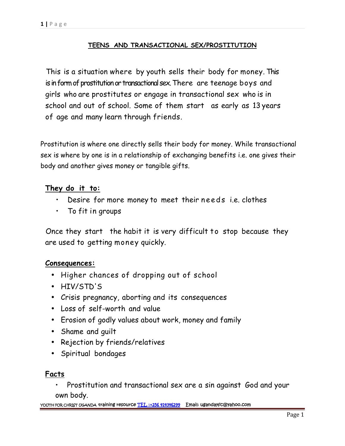# **TEENS AND TRANSACTIONAL SEX/PROSTITUTION**

This is a situation where by youth sells their body for money. This is in form of prostitution or transactional sex.There are teenage boys and girls who are prostitutes or engage in transactional sex who is in school and out of school. Some of them start as early as 13 years of age and many learn through friends.

Prostitution is where one directly sells their body for money. While transactional sex is where by one is in a relationship of exchanging benefits i.e. one gives their body and another gives money or tangible gifts.

# **They do it to:**

- Desire for more money to meet their needs i.e. clothes<br>• To fit in groups
- To fit in groups

Once they start the habit it is very difficult to stop because they are used to getting money quickly.

## **Consequences:**

- Higher chances of dropping out of school
- HIV/STD'S
- Crisis pregnancy, aborting and its consequences
- Loss of self-worth and value
- Erosion of godly values about work, money and family
- Shame and guilt
- Rejection by friends/relatives
- Spiritual bondages

## **Facts**

• Prostitution and transactional sex are a sin against God and your own body.

**YOUTH FOR CHRIST UGANDA training resource TEL :+256 414346299 Email: ugandayfc@yahoo.com**